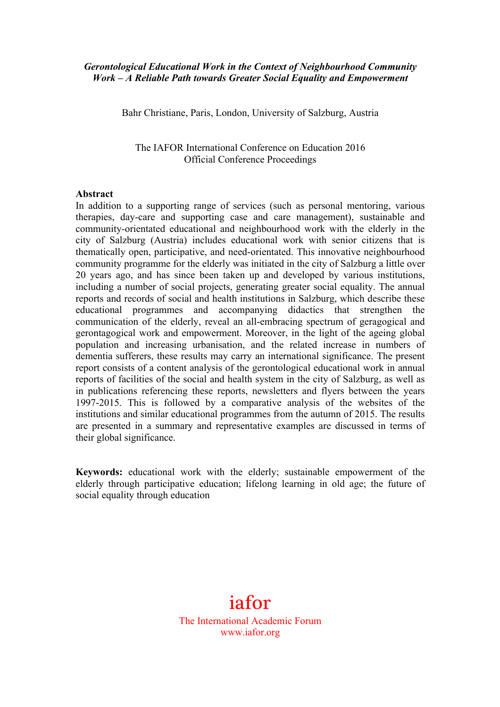## *Gerontological Educational Work in the Context of Neighbourhood Community Work – A Reliable Path towards Greater Social Equality and Empowerment*

Bahr Christiane, Paris, London, University of Salzburg, Austria

The IAFOR International Conference on Education 2016 Official Conference Proceedings

#### **Abstract**

In addition to a supporting range of services (such as personal mentoring, various therapies, day-care and supporting case and care management), sustainable and community-orientated educational and neighbourhood work with the elderly in the city of Salzburg (Austria) includes educational work with senior citizens that is thematically open, participative, and need-orientated. This innovative neighbourhood community programme for the elderly was initiated in the city of Salzburg a little over 20 years ago, and has since been taken up and developed by various institutions, including a number of social projects, generating greater social equality. The annual reports and records of social and health institutions in Salzburg, which describe these educational programmes and accompanying didactics that strengthen the communication of the elderly, reveal an all-embracing spectrum of geragogical and gerontagogical work and empowerment. Moreover, in the light of the ageing global population and increasing urbanisation, and the related increase in numbers of dementia sufferers, these results may carry an international significance. The present report consists of a content analysis of the gerontological educational work in annual reports of facilities of the social and health system in the city of Salzburg, as well as in publications referencing these reports, newsletters and flyers between the years 1997-2015. This is followed by a comparative analysis of the websites of the institutions and similar educational programmes from the autumn of 2015. The results are presented in a summary and representative examples are discussed in terms of their global significance.

**Keywords:** educational work with the elderly; sustainable empowerment of the elderly through participative education; lifelong learning in old age; the future of social equality through education

# iafor The International Academic Forum www.iafor.org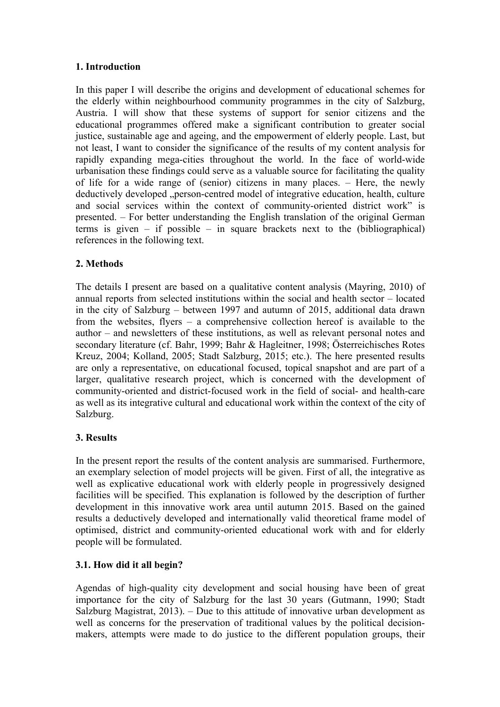## **1. Introduction**

In this paper I will describe the origins and development of educational schemes for the elderly within neighbourhood community programmes in the city of Salzburg, Austria. I will show that these systems of support for senior citizens and the educational programmes offered make a significant contribution to greater social justice, sustainable age and ageing, and the empowerment of elderly people. Last, but not least, I want to consider the significance of the results of my content analysis for rapidly expanding mega-cities throughout the world. In the face of world-wide urbanisation these findings could serve as a valuable source for facilitating the quality of life for a wide range of (senior) citizens in many places. – Here, the newly deductively developed "person-centred model of integrative education, health, culture and social services within the context of community-oriented district work" is presented. – For better understanding the English translation of the original German terms is given – if possible – in square brackets next to the (bibliographical) references in the following text.

## **2. Methods**

The details I present are based on a qualitative content analysis (Mayring, 2010) of annual reports from selected institutions within the social and health sector – located in the city of Salzburg – between 1997 and autumn of 2015, additional data drawn from the websites, flyers – a comprehensive collection hereof is available to the author – and newsletters of these institutions, as well as relevant personal notes and secondary literature (cf. Bahr, 1999; Bahr & Hagleitner, 1998; Österreichisches Rotes Kreuz, 2004; Kolland, 2005; Stadt Salzburg, 2015; etc.). The here presented results are only a representative, on educational focused, topical snapshot and are part of a larger, qualitative research project, which is concerned with the development of community-oriented and district-focused work in the field of social- and health-care as well as its integrative cultural and educational work within the context of the city of Salzburg.

## **3. Results**

In the present report the results of the content analysis are summarised. Furthermore, an exemplary selection of model projects will be given. First of all, the integrative as well as explicative educational work with elderly people in progressively designed facilities will be specified. This explanation is followed by the description of further development in this innovative work area until autumn 2015. Based on the gained results a deductively developed and internationally valid theoretical frame model of optimised, district and community-oriented educational work with and for elderly people will be formulated.

## **3.1. How did it all begin?**

Agendas of high-quality city development and social housing have been of great importance for the city of Salzburg for the last 30 years (Gutmann, 1990; Stadt Salzburg Magistrat, 2013). – Due to this attitude of innovative urban development as well as concerns for the preservation of traditional values by the political decisionmakers, attempts were made to do justice to the different population groups, their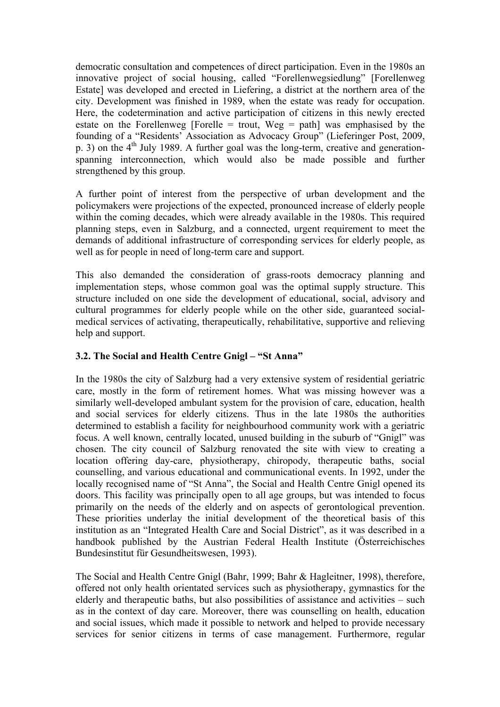democratic consultation and competences of direct participation. Even in the 1980s an innovative project of social housing, called "Forellenwegsiedlung" [Forellenweg Estate] was developed and erected in Liefering, a district at the northern area of the city. Development was finished in 1989, when the estate was ready for occupation. Here, the codetermination and active participation of citizens in this newly erected estate on the Forellenweg [Forelle = trout, Weg = path] was emphasised by the founding of a "Residents' Association as Advocacy Group" (Lieferinger Post, 2009, p. 3) on the  $4<sup>th</sup>$  July 1989. A further goal was the long-term, creative and generationspanning interconnection, which would also be made possible and further strengthened by this group.

A further point of interest from the perspective of urban development and the policymakers were projections of the expected, pronounced increase of elderly people within the coming decades, which were already available in the 1980s. This required planning steps, even in Salzburg, and a connected, urgent requirement to meet the demands of additional infrastructure of corresponding services for elderly people, as well as for people in need of long-term care and support.

This also demanded the consideration of grass-roots democracy planning and implementation steps, whose common goal was the optimal supply structure. This structure included on one side the development of educational, social, advisory and cultural programmes for elderly people while on the other side, guaranteed socialmedical services of activating, therapeutically, rehabilitative, supportive and relieving help and support.

## **3.2. The Social and Health Centre Gnigl – "St Anna"**

In the 1980s the city of Salzburg had a very extensive system of residential geriatric care, mostly in the form of retirement homes. What was missing however was a similarly well-developed ambulant system for the provision of care, education, health and social services for elderly citizens. Thus in the late 1980s the authorities determined to establish a facility for neighbourhood community work with a geriatric focus. A well known, centrally located, unused building in the suburb of "Gnigl" was chosen. The city council of Salzburg renovated the site with view to creating a location offering day-care, physiotherapy, chiropody, therapeutic baths, social counselling, and various educational and communicational events. In 1992, under the locally recognised name of "St Anna", the Social and Health Centre Gnigl opened its doors. This facility was principally open to all age groups, but was intended to focus primarily on the needs of the elderly and on aspects of gerontological prevention. These priorities underlay the initial development of the theoretical basis of this institution as an "Integrated Health Care and Social District", as it was described in a handbook published by the Austrian Federal Health Institute (Österreichisches Bundesinstitut für Gesundheitswesen, 1993).

The Social and Health Centre Gnigl (Bahr, 1999; Bahr & Hagleitner, 1998), therefore, offered not only health orientated services such as physiotherapy, gymnastics for the elderly and therapeutic baths, but also possibilities of assistance and activities – such as in the context of day care. Moreover, there was counselling on health, education and social issues, which made it possible to network and helped to provide necessary services for senior citizens in terms of case management. Furthermore, regular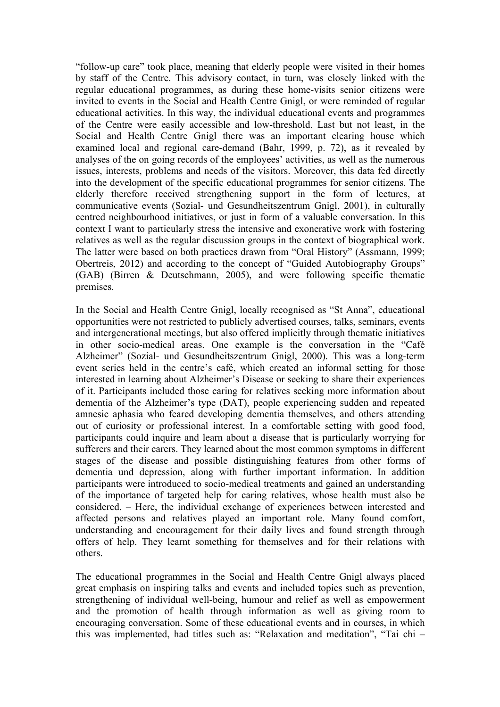"follow-up care" took place, meaning that elderly people were visited in their homes by staff of the Centre. This advisory contact, in turn, was closely linked with the regular educational programmes, as during these home-visits senior citizens were invited to events in the Social and Health Centre Gnigl, or were reminded of regular educational activities. In this way, the individual educational events and programmes of the Centre were easily accessible and low-threshold. Last but not least, in the Social and Health Centre Gnigl there was an important clearing house which examined local and regional care-demand (Bahr, 1999, p. 72), as it revealed by analyses of the on going records of the employees' activities, as well as the numerous issues, interests, problems and needs of the visitors. Moreover, this data fed directly into the development of the specific educational programmes for senior citizens. The elderly therefore received strengthening support in the form of lectures, at communicative events (Sozial- und Gesundheitszentrum Gnigl, 2001), in culturally centred neighbourhood initiatives, or just in form of a valuable conversation. In this context I want to particularly stress the intensive and exonerative work with fostering relatives as well as the regular discussion groups in the context of biographical work. The latter were based on both practices drawn from "Oral History" (Assmann, 1999; Obertreis, 2012) and according to the concept of "Guided Autobiography Groups" (GAB) (Birren & Deutschmann, 2005), and were following specific thematic premises.

In the Social and Health Centre Gnigl, locally recognised as "St Anna", educational opportunities were not restricted to publicly advertised courses, talks, seminars, events and intergenerational meetings, but also offered implicitly through thematic initiatives in other socio-medical areas. One example is the conversation in the "Café Alzheimer" (Sozial- und Gesundheitszentrum Gnigl, 2000). This was a long-term event series held in the centre's café, which created an informal setting for those interested in learning about Alzheimer's Disease or seeking to share their experiences of it. Participants included those caring for relatives seeking more information about dementia of the Alzheimer's type (DAT), people experiencing sudden and repeated amnesic aphasia who feared developing dementia themselves, and others attending out of curiosity or professional interest. In a comfortable setting with good food, participants could inquire and learn about a disease that is particularly worrying for sufferers and their carers. They learned about the most common symptoms in different stages of the disease and possible distinguishing features from other forms of dementia und depression, along with further important information. In addition participants were introduced to socio-medical treatments and gained an understanding of the importance of targeted help for caring relatives, whose health must also be considered. – Here, the individual exchange of experiences between interested and affected persons and relatives played an important role. Many found comfort, understanding and encouragement for their daily lives and found strength through offers of help. They learnt something for themselves and for their relations with others.

The educational programmes in the Social and Health Centre Gnigl always placed great emphasis on inspiring talks and events and included topics such as prevention, strengthening of individual well-being, humour and relief as well as empowerment and the promotion of health through information as well as giving room to encouraging conversation. Some of these educational events and in courses, in which this was implemented, had titles such as: "Relaxation and meditation", "Tai chi –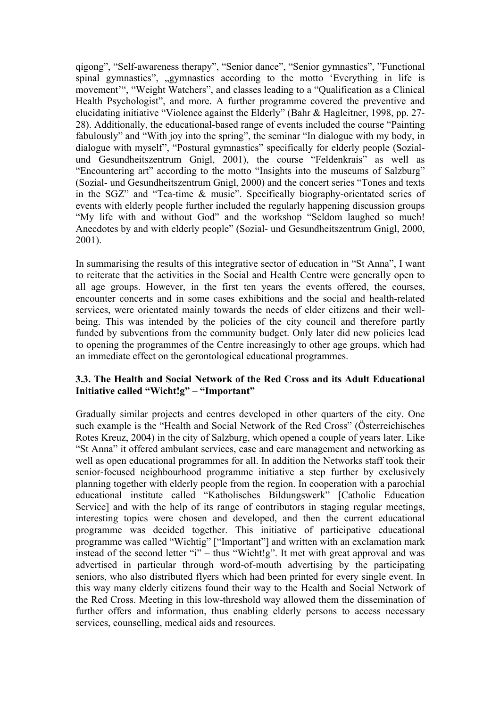qigong", "Self-awareness therapy", "Senior dance", "Senior gymnastics", "Functional spinal gymnastics", "gymnastics" according to the motto 'Everything in life is movement'", "Weight Watchers", and classes leading to a "Qualification as a Clinical Health Psychologist", and more. A further programme covered the preventive and elucidating initiative "Violence against the Elderly" (Bahr & Hagleitner, 1998, pp. 27- 28). Additionally, the educational-based range of events included the course "Painting fabulously" and "With joy into the spring", the seminar "In dialogue with my body, in dialogue with myself", "Postural gymnastics" specifically for elderly people (Sozialund Gesundheitszentrum Gnigl, 2001), the course "Feldenkrais" as well as "Encountering art" according to the motto "Insights into the museums of Salzburg" (Sozial- und Gesundheitszentrum Gnigl, 2000) and the concert series "Tones and texts in the SGZ" and "Tea-time & music". Specifically biography-orientated series of events with elderly people further included the regularly happening discussion groups "My life with and without God" and the workshop "Seldom laughed so much! Anecdotes by and with elderly people" (Sozial- und Gesundheitszentrum Gnigl, 2000, 2001).

In summarising the results of this integrative sector of education in "St Anna", I want to reiterate that the activities in the Social and Health Centre were generally open to all age groups. However, in the first ten years the events offered, the courses, encounter concerts and in some cases exhibitions and the social and health-related services, were orientated mainly towards the needs of elder citizens and their wellbeing. This was intended by the policies of the city council and therefore partly funded by subventions from the community budget. Only later did new policies lead to opening the programmes of the Centre increasingly to other age groups, which had an immediate effect on the gerontological educational programmes.

## **3.3. The Health and Social Network of the Red Cross and its Adult Educational Initiative called "Wicht!g" – "Important"**

Gradually similar projects and centres developed in other quarters of the city. One such example is the "Health and Social Network of the Red Cross" (Österreichisches Rotes Kreuz, 2004) in the city of Salzburg, which opened a couple of years later. Like "St Anna" it offered ambulant services, case and care management and networking as well as open educational programmes for all. In addition the Networks staff took their senior-focused neighbourhood programme initiative a step further by exclusively planning together with elderly people from the region. In cooperation with a parochial educational institute called "Katholisches Bildungswerk" [Catholic Education Service] and with the help of its range of contributors in staging regular meetings, interesting topics were chosen and developed, and then the current educational programme was decided together. This initiative of participative educational programme was called "Wichtig" ["Important"] and written with an exclamation mark instead of the second letter "i" – thus "Wicht!g". It met with great approval and was advertised in particular through word-of-mouth advertising by the participating seniors, who also distributed flyers which had been printed for every single event. In this way many elderly citizens found their way to the Health and Social Network of the Red Cross. Meeting in this low-threshold way allowed them the dissemination of further offers and information, thus enabling elderly persons to access necessary services, counselling, medical aids and resources.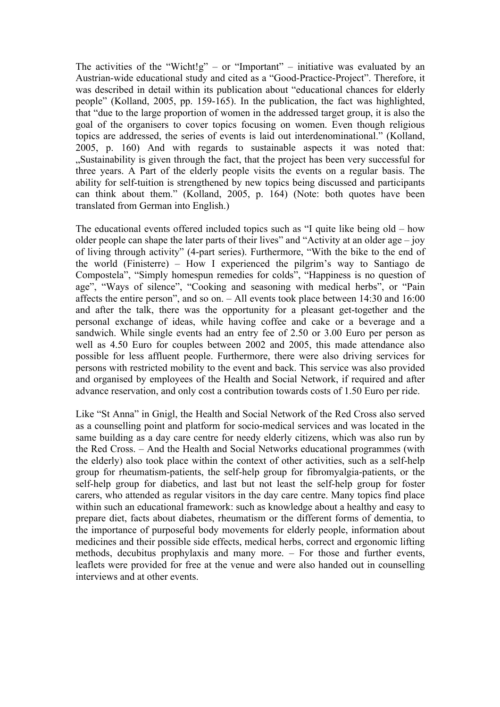The activities of the "Wicht!g" – or "Important" – initiative was evaluated by an Austrian-wide educational study and cited as a "Good-Practice-Project". Therefore, it was described in detail within its publication about "educational chances for elderly people" (Kolland, 2005, pp. 159-165). In the publication, the fact was highlighted, that "due to the large proportion of women in the addressed target group, it is also the goal of the organisers to cover topics focusing on women. Even though religious topics are addressed, the series of events is laid out interdenominational." (Kolland, 2005, p. 160) And with regards to sustainable aspects it was noted that: "Sustainability is given through the fact, that the project has been very successful for three years. A Part of the elderly people visits the events on a regular basis. The ability for self-tuition is strengthened by new topics being discussed and participants can think about them." (Kolland, 2005, p. 164) (Note: both quotes have been translated from German into English.)

The educational events offered included topics such as "I quite like being old – how older people can shape the later parts of their lives" and "Activity at an older age – joy of living through activity" (4-part series). Furthermore, "With the bike to the end of the world (Finisterre) – How I experienced the pilgrim's way to Santiago de Compostela", "Simply homespun remedies for colds", "Happiness is no question of age", "Ways of silence", "Cooking and seasoning with medical herbs", or "Pain affects the entire person", and so on. – All events took place between 14:30 and 16:00 and after the talk, there was the opportunity for a pleasant get-together and the personal exchange of ideas, while having coffee and cake or a beverage and a sandwich. While single events had an entry fee of 2.50 or 3.00 Euro per person as well as 4.50 Euro for couples between 2002 and 2005, this made attendance also possible for less affluent people. Furthermore, there were also driving services for persons with restricted mobility to the event and back. This service was also provided and organised by employees of the Health and Social Network, if required and after advance reservation, and only cost a contribution towards costs of 1.50 Euro per ride.

Like "St Anna" in Gnigl, the Health and Social Network of the Red Cross also served as a counselling point and platform for socio-medical services and was located in the same building as a day care centre for needy elderly citizens, which was also run by the Red Cross. – And the Health and Social Networks educational programmes (with the elderly) also took place within the context of other activities, such as a self-help group for rheumatism-patients, the self-help group for fibromyalgia-patients, or the self-help group for diabetics, and last but not least the self-help group for foster carers, who attended as regular visitors in the day care centre. Many topics find place within such an educational framework: such as knowledge about a healthy and easy to prepare diet, facts about diabetes, rheumatism or the different forms of dementia, to the importance of purposeful body movements for elderly people, information about medicines and their possible side effects, medical herbs, correct and ergonomic lifting methods, decubitus prophylaxis and many more. – For those and further events, leaflets were provided for free at the venue and were also handed out in counselling interviews and at other events.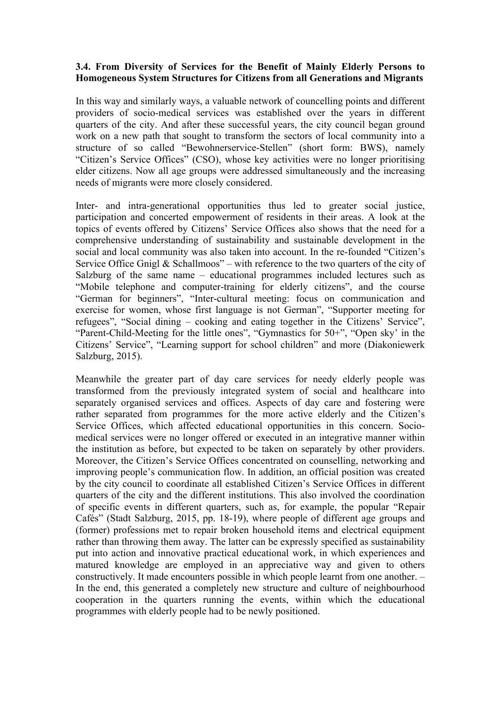## **3.4. From Diversity of Services for the Benefit of Mainly Elderly Persons to Homogeneous System Structures for Citizens from all Generations and Migrants**

In this way and similarly ways, a valuable network of councelling points and different providers of socio-medical services was established over the years in different quarters of the city. And after these successful years, the city council began ground work on a new path that sought to transform the sectors of local community into a structure of so called "Bewohnerservice-Stellen" (short form: BWS), namely "Citizen's Service Offices" (CSO), whose key activities were no longer prioritising elder citizens. Now all age groups were addressed simultaneously and the increasing needs of migrants were more closely considered.

Inter- and intra-generational opportunities thus led to greater social justice, participation and concerted empowerment of residents in their areas. A look at the topics of events offered by Citizens' Service Offices also shows that the need for a comprehensive understanding of sustainability and sustainable development in the social and local community was also taken into account. In the re-founded "Citizen's Service Office Gnigl  $&$  Schallmoos" – with reference to the two quarters of the city of Salzburg of the same name – educational programmes included lectures such as "Mobile telephone and computer-training for elderly citizens", and the course "German for beginners", "Inter-cultural meeting: focus on communication and exercise for women, whose first language is not German", "Supporter meeting for refugees", "Social dining – cooking and eating together in the Citizens' Service", "Parent-Child-Meeting for the little ones", "Gymnastics for 50+", "Open sky' in the Citizens' Service", "Learning support for school children" and more (Diakoniewerk Salzburg, 2015).

Meanwhile the greater part of day care services for needy elderly people was transformed from the previously integrated system of social and healthcare into separately organised services and offices. Aspects of day care and fostering were rather separated from programmes for the more active elderly and the Citizen's Service Offices, which affected educational opportunities in this concern. Sociomedical services were no longer offered or executed in an integrative manner within the institution as before, but expected to be taken on separately by other providers. Moreover, the Citizen's Service Offices concentrated on counselling, networking and improving people's communication flow. In addition, an official position was created by the city council to coordinate all established Citizen's Service Offices in different quarters of the city and the different institutions. This also involved the coordination of specific events in different quarters, such as, for example, the popular "Repair Cafés" (Stadt Salzburg, 2015, pp. 18-19), where people of different age groups and (former) professions met to repair broken household items and electrical equipment rather than throwing them away. The latter can be expressly specified as sustainability put into action and innovative practical educational work, in which experiences and matured knowledge are employed in an appreciative way and given to others constructively. It made encounters possible in which people learnt from one another. – In the end, this generated a completely new structure and culture of neighbourhood cooperation in the quarters running the events, within which the educational programmes with elderly people had to be newly positioned.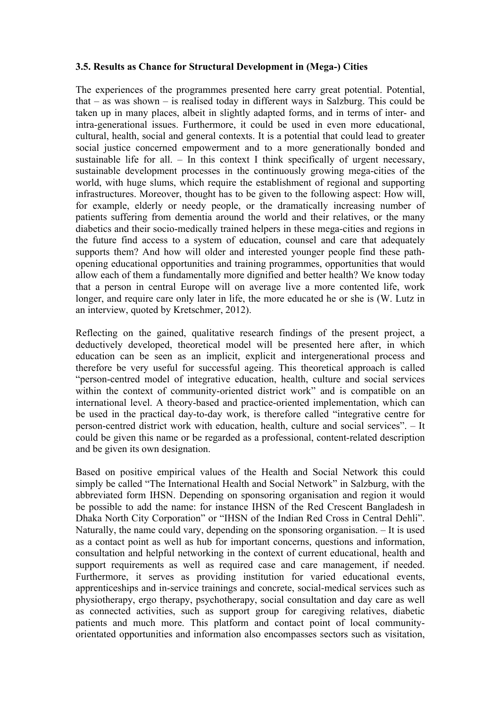## **3.5. Results as Chance for Structural Development in (Mega-) Cities**

The experiences of the programmes presented here carry great potential. Potential, that – as was shown – is realised today in different ways in Salzburg. This could be taken up in many places, albeit in slightly adapted forms, and in terms of inter- and intra-generational issues. Furthermore, it could be used in even more educational, cultural, health, social and general contexts. It is a potential that could lead to greater social justice concerned empowerment and to a more generationally bonded and sustainable life for all. – In this context I think specifically of urgent necessary, sustainable development processes in the continuously growing mega-cities of the world, with huge slums, which require the establishment of regional and supporting infrastructures. Moreover, thought has to be given to the following aspect: How will, for example, elderly or needy people, or the dramatically increasing number of patients suffering from dementia around the world and their relatives, or the many diabetics and their socio-medically trained helpers in these mega-cities and regions in the future find access to a system of education, counsel and care that adequately supports them? And how will older and interested younger people find these pathopening educational opportunities and training programmes, opportunities that would allow each of them a fundamentally more dignified and better health? We know today that a person in central Europe will on average live a more contented life, work longer, and require care only later in life, the more educated he or she is (W. Lutz in an interview, quoted by Kretschmer, 2012).

Reflecting on the gained, qualitative research findings of the present project, a deductively developed, theoretical model will be presented here after, in which education can be seen as an implicit, explicit and intergenerational process and therefore be very useful for successful ageing. This theoretical approach is called "person-centred model of integrative education, health, culture and social services within the context of community-oriented district work" and is compatible on an international level. A theory-based and practice-oriented implementation, which can be used in the practical day-to-day work, is therefore called "integrative centre for person-centred district work with education, health, culture and social services". – It could be given this name or be regarded as a professional, content-related description and be given its own designation.

Based on positive empirical values of the Health and Social Network this could simply be called "The International Health and Social Network" in Salzburg, with the abbreviated form IHSN. Depending on sponsoring organisation and region it would be possible to add the name: for instance IHSN of the Red Crescent Bangladesh in Dhaka North City Corporation" or "IHSN of the Indian Red Cross in Central Dehli". Naturally, the name could vary, depending on the sponsoring organisation. – It is used as a contact point as well as hub for important concerns, questions and information, consultation and helpful networking in the context of current educational, health and support requirements as well as required case and care management, if needed. Furthermore, it serves as providing institution for varied educational events, apprenticeships and in-service trainings and concrete, social-medical services such as physiotherapy, ergo therapy, psychotherapy, social consultation and day care as well as connected activities, such as support group for caregiving relatives, diabetic patients and much more. This platform and contact point of local communityorientated opportunities and information also encompasses sectors such as visitation,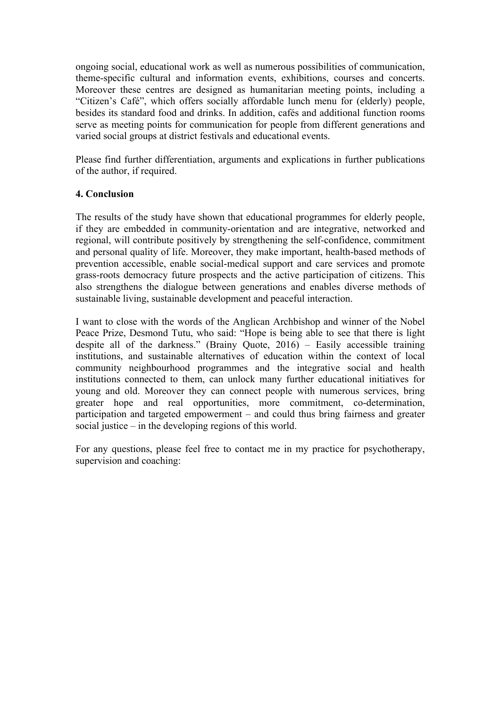ongoing social, educational work as well as numerous possibilities of communication, theme-specific cultural and information events, exhibitions, courses and concerts. Moreover these centres are designed as humanitarian meeting points, including a "Citizen's Café", which offers socially affordable lunch menu for (elderly) people, besides its standard food and drinks. In addition, cafés and additional function rooms serve as meeting points for communication for people from different generations and varied social groups at district festivals and educational events.

Please find further differentiation, arguments and explications in further publications of the author, if required.

## **4. Conclusion**

The results of the study have shown that educational programmes for elderly people, if they are embedded in community-orientation and are integrative, networked and regional, will contribute positively by strengthening the self-confidence, commitment and personal quality of life. Moreover, they make important, health-based methods of prevention accessible, enable social-medical support and care services and promote grass-roots democracy future prospects and the active participation of citizens. This also strengthens the dialogue between generations and enables diverse methods of sustainable living, sustainable development and peaceful interaction.

I want to close with the words of the Anglican Archbishop and winner of the Nobel Peace Prize, Desmond Tutu, who said: "Hope is being able to see that there is light despite all of the darkness." (Brainy Quote,  $2016$ ) – Easily accessible training institutions, and sustainable alternatives of education within the context of local community neighbourhood programmes and the integrative social and health institutions connected to them, can unlock many further educational initiatives for young and old. Moreover they can connect people with numerous services, bring greater hope and real opportunities, more commitment, co-determination, participation and targeted empowerment – and could thus bring fairness and greater social justice – in the developing regions of this world.

For any questions, please feel free to contact me in my practice for psychotherapy, supervision and coaching: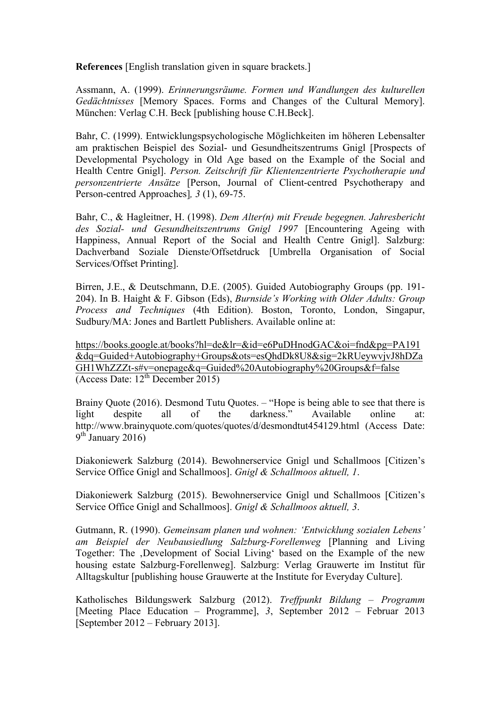**References** [English translation given in square brackets.]

Assmann, A. (1999). *Erinnerungsräume. Formen und Wandlungen des kulturellen Gedächtnisses* [Memory Spaces. Forms and Changes of the Cultural Memory]. München: Verlag C.H. Beck [publishing house C.H.Beck].

Bahr, C. (1999). Entwicklungspsychologische Möglichkeiten im höheren Lebensalter am praktischen Beispiel des Sozial- und Gesundheitszentrums Gnigl [Prospects of Developmental Psychology in Old Age based on the Example of the Social and Health Centre Gnigl]. *Person. Zeitschrift für Klientenzentrierte Psychotherapie und personzentrierte Ansätze* [Person, Journal of Client-centred Psychotherapy and Person-centred Approaches]*, 3* (1), 69-75.

Bahr, C., & Hagleitner, H. (1998). *Dem Alter(n) mit Freude begegnen. Jahresbericht des Sozial- und Gesundheitszentrums Gnigl 1997* [Encountering Ageing with Happiness, Annual Report of the Social and Health Centre Gnigl]. Salzburg: Dachverband Soziale Dienste/Offsetdruck [Umbrella Organisation of Social Services/Offset Printing].

Birren, J.E., & Deutschmann, D.E. (2005). Guided Autobiography Groups (pp. 191- 204). In B. Haight & F. Gibson (Eds), *Burnside's Working with Older Adults: Group Process and Techniques* (4th Edition). Boston, Toronto, London, Singapur, Sudbury/MA: Jones and Bartlett Publishers. Available online at:

https://books.google.at/books?hl=de&lr=&id=e6PuDHnodGAC&oi=fnd&pg=PA191 &dq=Guided+Autobiography+Groups&ots=esQhdDk8U8&sig=2kRUeywvjvJ8hDZa GH1WhZZZt-s#v=onepage&q=Guided%20Autobiography%20Groups&f=false (Access Date:  $12^{th}$  December 2015)

Brainy Quote (2016). Desmond Tutu Quotes. – "Hope is being able to see that there is light despite all of the darkness." Available online at: http://www.brainyquote.com/quotes/quotes/d/desmondtut454129.html (Access Date:  $9<sup>th</sup>$  January 2016)

Diakoniewerk Salzburg (2014). Bewohnerservice Gnigl und Schallmoos [Citizen's Service Office Gnigl and Schallmoos]. *Gnigl & Schallmoos aktuell, 1*.

Diakoniewerk Salzburg (2015). Bewohnerservice Gnigl und Schallmoos [Citizen's Service Office Gnigl and Schallmoos]. *Gnigl & Schallmoos aktuell, 3*.

Gutmann, R. (1990). *Gemeinsam planen und wohnen: 'Entwicklung sozialen Lebens' am Beispiel der Neubausiedlung Salzburg-Forellenweg* [Planning and Living Together: The ,Development of Social Living' based on the Example of the new housing estate Salzburg-Forellenweg]. Salzburg: Verlag Grauwerte im Institut für Alltagskultur [publishing house Grauwerte at the Institute for Everyday Culture].

Katholisches Bildungswerk Salzburg (2012). *Treffpunkt Bildung – Programm*  [Meeting Place Education – Programme], *3*, September 2012 – Februar 2013 [September 2012 – February 2013].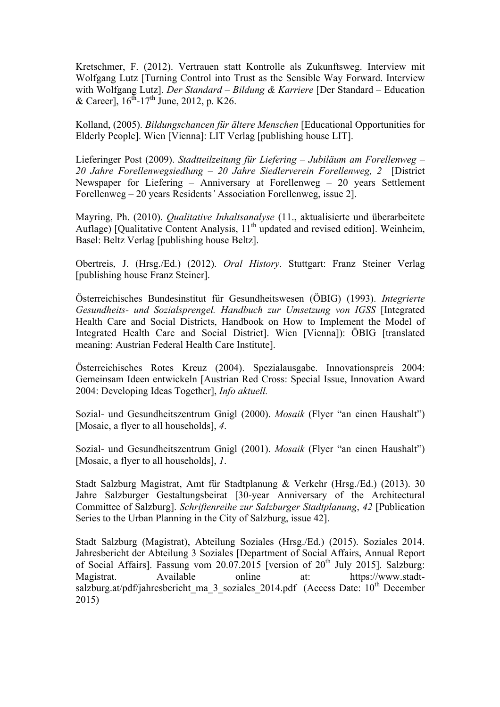Kretschmer, F. (2012). Vertrauen statt Kontrolle als Zukunftsweg. Interview mit Wolfgang Lutz [Turning Control into Trust as the Sensible Way Forward. Interview with Wolfgang Lutz]. *Der Standard – Bildung & Karriere* [Der Standard – Education & Career],  $16^{th}$ -17<sup>th</sup> June, 2012, p. K26.

Kolland, (2005). *Bildungschancen für ältere Menschen* [Educational Opportunities for Elderly People]. Wien [Vienna]: LIT Verlag [publishing house LIT].

Lieferinger Post (2009). *Stadtteilzeitung für Liefering – Jubiläum am Forellenweg – 20 Jahre Forellenwegsiedlung – 20 Jahre Siedlerverein Forellenweg, 2* [District Newspaper for Liefering – Anniversary at Forellenweg – 20 years Settlement Forellenweg – 20 years Residents*'* Association Forellenweg, issue 2].

Mayring, Ph. (2010). *Qualitative Inhaltsanalyse* (11., aktualisierte und überarbeitete Auflage) [Qualitative Content Analysis,  $11<sup>th</sup>$  updated and revised edition]. Weinheim, Basel: Beltz Verlag [publishing house Beltz].

Obertreis, J. (Hrsg./Ed.) (2012). *Oral History*. Stuttgart: Franz Steiner Verlag [publishing house Franz Steiner].

Österreichisches Bundesinstitut für Gesundheitswesen (ÖBIG) (1993). *Integrierte Gesundheits- und Sozialsprengel. Handbuch zur Umsetzung von IGSS* [Integrated Health Care and Social Districts, Handbook on How to Implement the Model of Integrated Health Care and Social District]. Wien [Vienna]): ÖBIG [translated meaning: Austrian Federal Health Care Institute].

Österreichisches Rotes Kreuz (2004). Spezialausgabe. Innovationspreis 2004: Gemeinsam Ideen entwickeln [Austrian Red Cross: Special Issue, Innovation Award 2004: Developing Ideas Together], *Info aktuell.*

Sozial- und Gesundheitszentrum Gnigl (2000). *Mosaik* (Flyer "an einen Haushalt") [Mosaic, a flyer to all households], *4*.

Sozial- und Gesundheitszentrum Gnigl (2001). *Mosaik* (Flyer "an einen Haushalt") [Mosaic, a flyer to all households], *1*.

Stadt Salzburg Magistrat, Amt für Stadtplanung & Verkehr (Hrsg./Ed.) (2013). 30 Jahre Salzburger Gestaltungsbeirat [30-year Anniversary of the Architectural Committee of Salzburg]. *Schriftenreihe zur Salzburger Stadtplanung*, *42* [Publication Series to the Urban Planning in the City of Salzburg, issue 42].

Stadt Salzburg (Magistrat), Abteilung Soziales (Hrsg./Ed.) (2015). Soziales 2014. Jahresbericht der Abteilung 3 Soziales [Department of Social Affairs, Annual Report of Social Affairs]. Fassung vom 20.07.2015 [version of  $20<sup>th</sup>$  July 2015]. Salzburg: Magistrat. Available online at: https://www.stadtsalzburg.at/pdf/jahresbericht\_ma\_3\_soziales\_2014.pdf (Access Date: 10<sup>th</sup> December 2015)